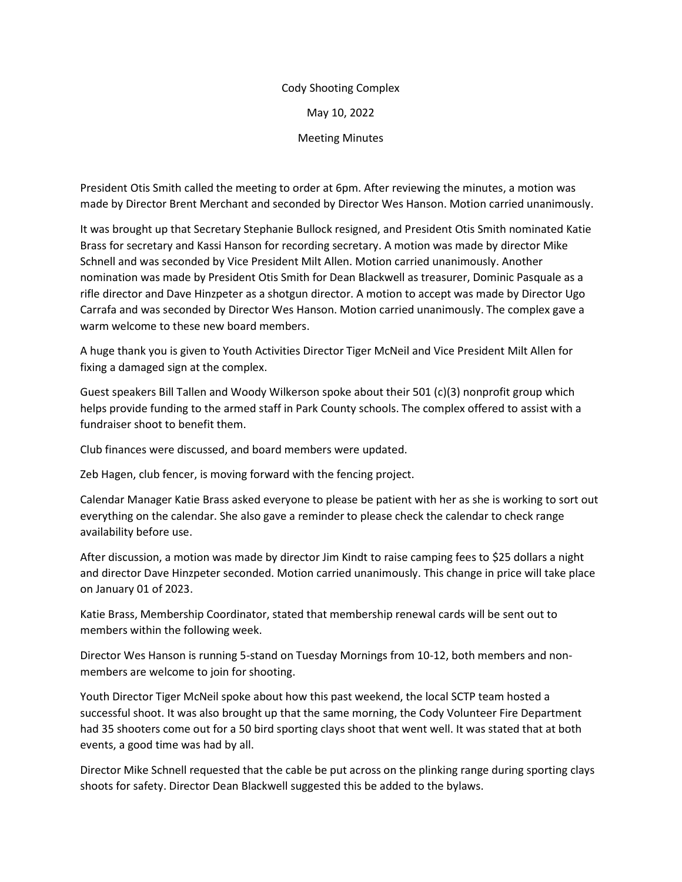## Cody Shooting Complex May 10, 2022 Meeting Minutes

President Otis Smith called the meeting to order at 6pm. After reviewing the minutes, a motion was made by Director Brent Merchant and seconded by Director Wes Hanson. Motion carried unanimously.

It was brought up that Secretary Stephanie Bullock resigned, and President Otis Smith nominated Katie Brass for secretary and Kassi Hanson for recording secretary. A motion was made by director Mike Schnell and was seconded by Vice President Milt Allen. Motion carried unanimously. Another nomination was made by President Otis Smith for Dean Blackwell as treasurer, Dominic Pasquale as a rifle director and Dave Hinzpeter as a shotgun director. A motion to accept was made by Director Ugo Carrafa and was seconded by Director Wes Hanson. Motion carried unanimously. The complex gave a warm welcome to these new board members.

A huge thank you is given to Youth Activities Director Tiger McNeil and Vice President Milt Allen for fixing a damaged sign at the complex.

Guest speakers Bill Tallen and Woody Wilkerson spoke about their 501 (c)(3) nonprofit group which helps provide funding to the armed staff in Park County schools. The complex offered to assist with a fundraiser shoot to benefit them.

Club finances were discussed, and board members were updated.

Zeb Hagen, club fencer, is moving forward with the fencing project.

Calendar Manager Katie Brass asked everyone to please be patient with her as she is working to sort out everything on the calendar. She also gave a reminder to please check the calendar to check range availability before use.

After discussion, a motion was made by director Jim Kindt to raise camping fees to \$25 dollars a night and director Dave Hinzpeter seconded. Motion carried unanimously. This change in price will take place on January 01 of 2023.

Katie Brass, Membership Coordinator, stated that membership renewal cards will be sent out to members within the following week.

Director Wes Hanson is running 5-stand on Tuesday Mornings from 10-12, both members and nonmembers are welcome to join for shooting.

Youth Director Tiger McNeil spoke about how this past weekend, the local SCTP team hosted a successful shoot. It was also brought up that the same morning, the Cody Volunteer Fire Department had 35 shooters come out for a 50 bird sporting clays shoot that went well. It was stated that at both events, a good time was had by all.

Director Mike Schnell requested that the cable be put across on the plinking range during sporting clays shoots for safety. Director Dean Blackwell suggested this be added to the bylaws.